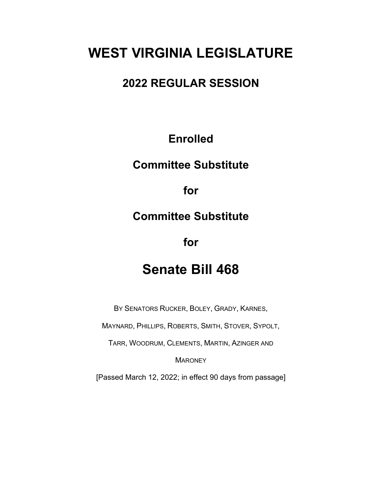# **WEST VIRGINIA LEGISLATURE**

#### **2022 REGULAR SESSION**

### **Enrolled**

### **Committee Substitute**

**for**

#### **Committee Substitute**

**for**

## **Senate Bill 468**

BY SENATORS RUCKER, BOLEY, GRADY, KARNES,

MAYNARD, PHILLIPS, ROBERTS, SMITH, STOVER, SYPOLT,

TARR, WOODRUM, CLEMENTS, MARTIN, AZINGER AND

**MARONEY** 

[Passed March 12, 2022; in effect 90 days from passage]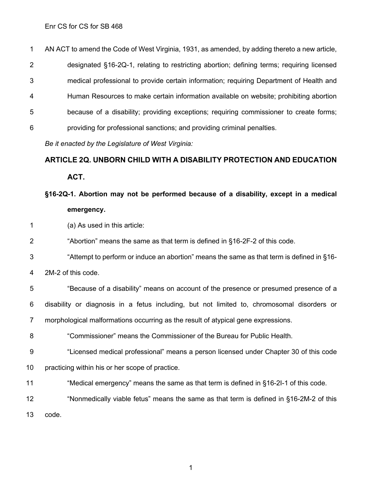Enr CS for CS for SB 468

 AN ACT to amend the Code of West Virginia, 1931, as amended, by adding thereto a new article, designated §16-2Q-1, relating to restricting abortion; defining terms; requiring licensed medical professional to provide certain information; requiring Department of Health and Human Resources to make certain information available on website; prohibiting abortion because of a disability; providing exceptions; requiring commissioner to create forms; providing for professional sanctions; and providing criminal penalties.

*Be it enacted by the Legislature of West Virginia:*

#### **ARTICLE 2Q. UNBORN CHILD WITH A DISABILITY PROTECTION AND EDUCATION**

**ACT.**

#### **§16-2Q-1. Abortion may not be performed because of a disability, except in a medical emergency.**

(a) As used in this article:

"Abortion" means the same as that term is defined in §16-2F-2 of this code.

"Attempt to perform or induce an abortion" means the same as that term is defined in §16-

2M-2 of this code.

 "Because of a disability" means on account of the presence or presumed presence of a disability or diagnosis in a fetus including, but not limited to, chromosomal disorders or morphological malformations occurring as the result of atypical gene expressions.

"Commissioner" means the Commissioner of the Bureau for Public Health.

"Licensed medical professional" means a person licensed under Chapter 30 of this code

practicing within his or her scope of practice.

"Medical emergency" means the same as that term is defined in §16-2I-1 of this code.

12 "Nonmedically viable fetus" means the same as that term is defined in §16-2M-2 of this

code.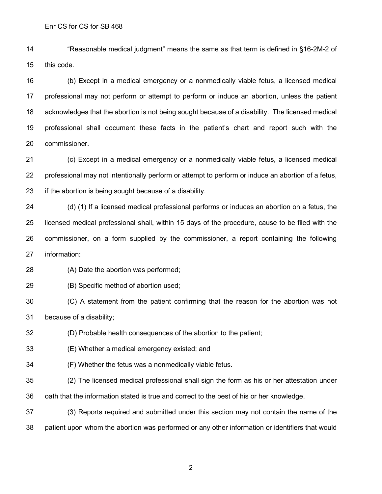"Reasonable medical judgment" means the same as that term is defined in §16-2M-2 of this code.

 (b) Except in a medical emergency or a nonmedically viable fetus, a licensed medical professional may not perform or attempt to perform or induce an abortion, unless the patient acknowledges that the abortion is not being sought because of a disability. The licensed medical professional shall document these facts in the patient's chart and report such with the commissioner.

 (c) Except in a medical emergency or a nonmedically viable fetus, a licensed medical professional may not intentionally perform or attempt to perform or induce an abortion of a fetus, if the abortion is being sought because of a disability.

24 (d) (1) If a licensed medical professional performs or induces an abortion on a fetus, the licensed medical professional shall, within 15 days of the procedure, cause to be filed with the commissioner, on a form supplied by the commissioner, a report containing the following information:

(A) Date the abortion was performed;

(B) Specific method of abortion used;

 (C) A statement from the patient confirming that the reason for the abortion was not because of a disability;

(D) Probable health consequences of the abortion to the patient;

(E) Whether a medical emergency existed; and

(F) Whether the fetus was a nonmedically viable fetus.

(2) The licensed medical professional shall sign the form as his or her attestation under

oath that the information stated is true and correct to the best of his or her knowledge.

 (3) Reports required and submitted under this section may not contain the name of the patient upon whom the abortion was performed or any other information or identifiers that would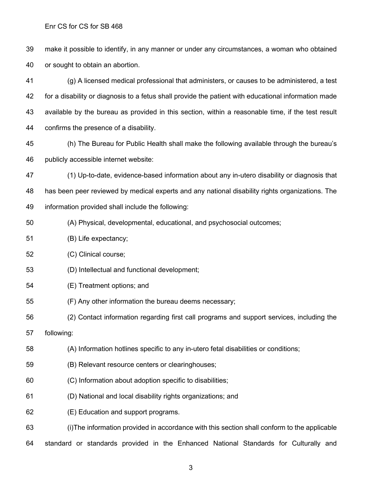Enr CS for CS for SB 468

 make it possible to identify, in any manner or under any circumstances, a woman who obtained or sought to obtain an abortion.

 (g) A licensed medical professional that administers, or causes to be administered, a test for a disability or diagnosis to a fetus shall provide the patient with educational information made available by the bureau as provided in this section, within a reasonable time, if the test result confirms the presence of a disability.

 (h) The Bureau for Public Health shall make the following available through the bureau's publicly accessible internet website:

 (1) Up-to-date, evidence-based information about any in-utero disability or diagnosis that has been peer reviewed by medical experts and any national disability rights organizations. The information provided shall include the following:

- (A) Physical, developmental, educational, and psychosocial outcomes;
- (B) Life expectancy;
- (C) Clinical course;
- (D) Intellectual and functional development;
- (E) Treatment options; and
- (F) Any other information the bureau deems necessary;
- (2) Contact information regarding first call programs and support services, including the
- following:
- (A) Information hotlines specific to any in-utero fetal disabilities or conditions;
- (B) Relevant resource centers or clearinghouses;
- (C) Information about adoption specific to disabilities;
- (D) National and local disability rights organizations; and
- (E) Education and support programs.

(i)The information provided in accordance with this section shall conform to the applicable

standard or standards provided in the Enhanced National Standards for Culturally and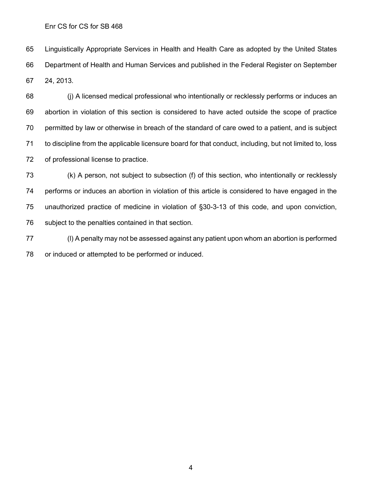Enr CS for CS for SB 468

 Linguistically Appropriate Services in Health and Health Care as adopted by the United States Department of Health and Human Services and published in the Federal Register on September 24, 2013.

 (j) A licensed medical professional who intentionally or recklessly performs or induces an abortion in violation of this section is considered to have acted outside the scope of practice permitted by law or otherwise in breach of the standard of care owed to a patient, and is subject to discipline from the applicable licensure board for that conduct, including, but not limited to, loss of professional license to practice.

 (k) A person, not subject to subsection (f) of this section, who intentionally or recklessly performs or induces an abortion in violation of this article is considered to have engaged in the unauthorized practice of medicine in violation of §30-3-13 of this code, and upon conviction, subject to the penalties contained in that section.

 (l) A penalty may not be assessed against any patient upon whom an abortion is performed or induced or attempted to be performed or induced.